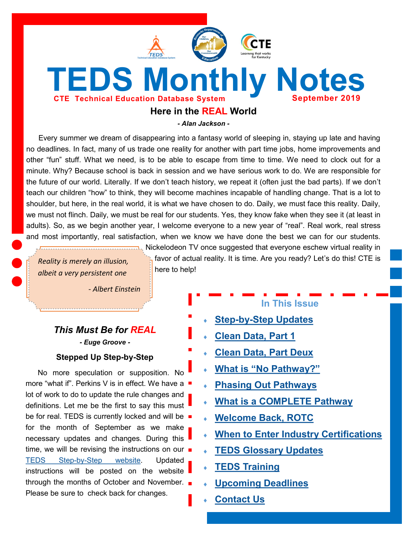<span id="page-0-0"></span>

*- Alan Jackson -*

Every summer we dream of disappearing into a fantasy world of sleeping in, staying up late and having no deadlines. In fact, many of us trade one reality for another with part time jobs, home improvements and other "fun" stuff. What we need, is to be able to escape from time to time. We need to clock out for a minute. Why? Because school is back in session and we have serious work to do. We are responsible for the future of our world. Literally. If we don't teach history, we repeat it (often just the bad parts). If we don't teach our children "how" to think, they will become machines incapable of handling change. That is a lot to shoulder, but here, in the real world, it is what we have chosen to do. Daily, we must face this reality. Daily, we must not flinch. Daily, we must be real for our students. Yes, they know fake when they see it (at least in adults). So, as we begin another year, I welcome everyone to a new year of "real". Real work, real stress and most importantly, real satisfaction, when we know we have done the best we can for our students.

*Reality is merely an illusion, albeit a very persistent one*

*- Albert Einstein* 

# *This Must Be for REAL - Euge Groove -*

**Stepped Up Step-by-Step**

No more speculation or supposition. No more "what if". Perkins V is in effect. We have a lot of work to do to update the rule changes and definitions. Let me be the first to say this must be for real. TEDS is currently locked and will be for the month of September as we make necessary updates and changes. During this time, we will be revising the instructions on our  $\blacksquare$ TEDS Step-by-[Step website.](https://education.ky.gov/CTE/teds/Pages/TEDSStepbyStep.aspx) Updated instructions will be posted on the website through the months of October and November. Please be sure to check back for changes.

Nickelodeon TV once suggested that everyone eschew virtual reality in favor of actual reality. It is time. Are you ready? Let's do this! CTE is here to help!

# **In This Issue**

- **Step-by-[Step Updates](#page-0-0)**
- **[Clean Data, Part 1](#page-1-0)**
- **[Clean Data, Part Deux](#page-1-0)**
- **What is "[No Pathway?](#page-2-0)"**
- **[Phasing Out Pathways](#page-2-0)**
- **[What is a COMPLETE Pathway](#page-3-0)**
- **[Welcome Back, ROTC](#page-3-0)**
- **[When to Enter Industry Certifications](#page-3-0)**
- **[TEDS Glossary Updates](#page-4-0)**
- **[TEDS Training](#page-4-0)**
- **[Upcoming Deadlines](#page-5-0)**
- **[Contact Us](#page-5-0)**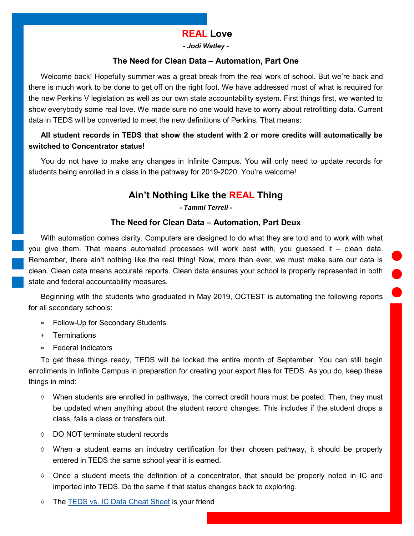# **REAL Love**

*- Jodi Watley -*

### **The Need for Clean Data – Automation, Part One**

<span id="page-1-0"></span>Welcome back! Hopefully summer was a great break from the real work of school. But we're back and there is much work to be done to get off on the right foot. We have addressed most of what is required for the new Perkins V legislation as well as our own state accountability system. First things first, we wanted to show everybody some real love. We made sure no one would have to worry about retrofitting data. Current data in TEDS will be converted to meet the new definitions of Perkins. That means:

# **All student records in TEDS that show the student with 2 or more credits will automatically be switched to Concentrator status!**

You do not have to make any changes in Infinite Campus. You will only need to update records for students being enrolled in a class in the pathway for 2019-2020. You're welcome!

# **Ain't Nothing Like the REAL Thing**

*- Tammi Terrell -*

### **The Need for Clean Data – Automation, Part Deux**

With automation comes clarity. Computers are designed to do what they are told and to work with what you give them. That means automated processes will work best with, you guessed it – clean data. Remember, there ain't nothing like the real thing! Now, more than ever, we must make sure our data is clean. Clean data means accurate reports. Clean data ensures your school is properly represented in both state and federal accountability measures.

Beginning with the students who graduated in May 2019, OCTEST is automating the following reports for all secondary schools:

- Follow-Up for Secondary Students
- Terminations
- Federal Indicators

To get these things ready, TEDS will be locked the entire month of September. You can still begin enrollments in Infinite Campus in preparation for creating your export files for TEDS. As you do, keep these things in mind:

- $\Diamond$  When students are enrolled in pathways, the correct credit hours must be posted. Then, they must be updated when anything about the student record changes. This includes if the student drops a class, fails a class or transfers out.
- DO NOT terminate student records
- When a student earns an industry certification for their chosen pathway, it should be properly entered in TEDS the same school year it is earned.
- $\Diamond$  Once a student meets the definition of a concentrator, that should be properly noted in IC and imported into TEDS. Do the same if that status changes back to exploring.
- The [TEDS vs. IC Data Cheat Sheet](https://education.ky.gov/CTE/teds/Documents/TEDS-IC_CheatSheet.pdf) is your friend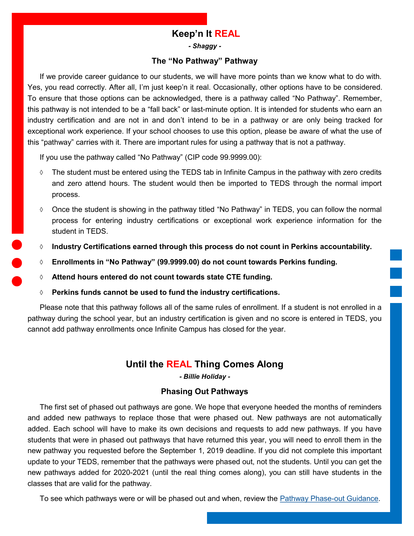# **Keep'n It REAL**

*- Shaggy -*

### **The "No Pathway" Pathway**

<span id="page-2-0"></span>If we provide career guidance to our students, we will have more points than we know what to do with. Yes, you read correctly. After all, I'm just keep'n it real. Occasionally, other options have to be considered. To ensure that those options can be acknowledged, there is a pathway called "No Pathway". Remember, this pathway is not intended to be a "fall back" or last-minute option. It is intended for students who earn an industry certification and are not in and don't intend to be in a pathway or are only being tracked for exceptional work experience. If your school chooses to use this option, please be aware of what the use of this "pathway" carries with it. There are important rules for using a pathway that is not a pathway.

If you use the pathway called "No Pathway" (CIP code 99.9999.00):

- $\Diamond$  The student must be entered using the TEDS tab in Infinite Campus in the pathway with zero credits and zero attend hours. The student would then be imported to TEDS through the normal import process.
- Once the student is showing in the pathway titled "No Pathway" in TEDS, you can follow the normal process for entering industry certifications or exceptional work experience information for the student in TEDS.
- **Industry Certifications earned through this process do not count in Perkins accountability.**
- **Enrollments in "No Pathway" (99.9999.00) do not count towards Perkins funding.**
- **Attend hours entered do not count towards state CTE funding.**
- **Perkins funds cannot be used to fund the industry certifications.**

Please note that this pathway follows all of the same rules of enrollment. If a student is not enrolled in a pathway during the school year, but an industry certification is given and no score is entered in TEDS, you cannot add pathway enrollments once Infinite Campus has closed for the year.

# **Until the REAL Thing Comes Along**

*- Billie Holiday -*

### **Phasing Out Pathways**

The first set of phased out pathways are gone. We hope that everyone heeded the months of reminders and added new pathways to replace those that were phased out. New pathways are not automatically added. Each school will have to make its own decisions and requests to add new pathways. If you have students that were in phased out pathways that have returned this year, you will need to enroll them in the new pathway you requested before the September 1, 2019 deadline. If you did not complete this important update to your TEDS, remember that the pathways were phased out, not the students. Until you can get the new pathways added for 2020-2021 (until the real thing comes along), you can still have students in the classes that are valid for the pathway.

To see which pathways were or will be phased out and when, review the [Pathway Phase](https://education.ky.gov/CTE/ctepa/Documents/Pathway_Phaseout_Guidance.pdf)-out Guidance.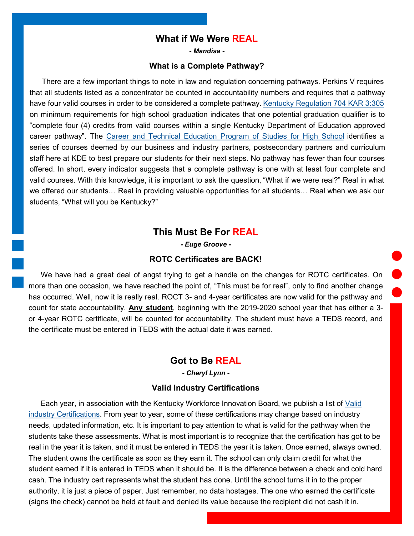# **What if We Were REAL**

*- Mandisa -*

#### **What is a Complete Pathway?**

<span id="page-3-0"></span>There are a few important things to note in law and regulation concerning pathways. Perkins V requires that all students listed as a concentrator be counted in accountability numbers and requires that a pathway have four valid courses in order to be considered a complete pathway. [Kentucky Regulation 704 KAR 3:305](https://apps.legislature.ky.gov/law/kar/704/003/305.pdf) on minimum requirements for high school graduation indicates that one potential graduation qualifier is to "complete four (4) credits from valid courses within a single Kentucky Department of Education approved career pathway". The [Career and Technical Education Program of Studies for High School](https://education.ky.gov/CTE/ctepa/Documents/2019-2020_CTE_POS.pdf) identifies a series of courses deemed by our business and industry partners, postsecondary partners and curriculum staff here at KDE to best prepare our students for their next steps. No pathway has fewer than four courses offered. In short, every indicator suggests that a complete pathway is one with at least four complete and valid courses. With this knowledge, it is important to ask the question, "What if we were real?" Real in what we offered our students… Real in providing valuable opportunities for all students… Real when we ask our students, "What will you be Kentucky?"

# **This Must Be For REAL**

*- Euge Groove -*

#### **ROTC Certificates are BACK!**

We have had a great deal of angst trying to get a handle on the changes for ROTC certificates. On more than one occasion, we have reached the point of, "This must be for real", only to find another change has occurred. Well, now it is really real. ROCT 3- and 4-year certificates are now valid for the pathway and count for state accountability. **Any student**, beginning with the 2019-2020 school year that has either a 3 or 4-year ROTC certificate, will be counted for accountability. The student must have a TEDS record, and the certificate must be entered in TEDS with the actual date it was earned.

# **Got to Be REAL**

*- Cheryl Lynn -*

#### **Valid Industry Certifications**

Each year, in association with the Kentucky Workforce Innovation Board, we publish a list of [Valid](https://education.ky.gov/CTE/endofprog/Documents/19-20_Valid_Industry_Certification.xlsx)  [industry Certifications.](https://education.ky.gov/CTE/endofprog/Documents/19-20_Valid_Industry_Certification.xlsx) From year to year, some of these certifications may change based on industry needs, updated information, etc. It is important to pay attention to what is valid for the pathway when the students take these assessments. What is most important is to recognize that the certification has got to be real in the year it is taken, and it must be entered in TEDS the year it is taken. Once earned, always owned. The student owns the certificate as soon as they earn it. The school can only claim credit for what the student earned if it is entered in TEDS when it should be. It is the difference between a check and cold hard cash. The industry cert represents what the student has done. Until the school turns it in to the proper authority, it is just a piece of paper. Just remember, no data hostages. The one who earned the certificate (signs the check) cannot be held at fault and denied its value because the recipient did not cash it in.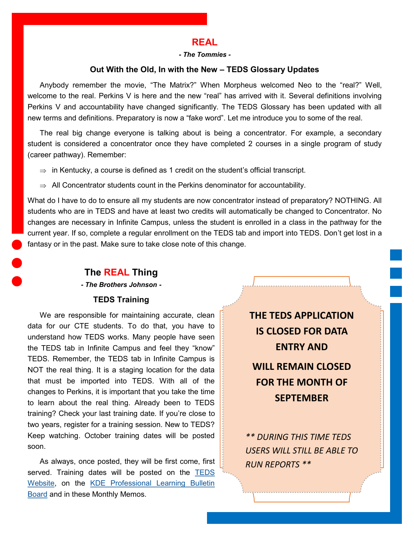### **REAL**

#### *- The Tommies -*

### **Out With the Old, In with the New – TEDS Glossary Updates**

<span id="page-4-0"></span>Anybody remember the movie, "The Matrix?" When Morpheus welcomed Neo to the "real?" Well, welcome to the real. Perkins V is here and the new "real" has arrived with it. Several definitions involving Perkins V and accountability have changed significantly. The TEDS Glossary has been updated with all new terms and definitions. Preparatory is now a "fake word". Let me introduce you to some of the real.

The real big change everyone is talking about is being a concentrator. For example, a secondary student is considered a concentrator once they have completed 2 courses in a single program of study (career pathway). Remember:

- $\Rightarrow$  in Kentucky, a course is defined as 1 credit on the student's official transcript.
- $\Rightarrow$  All Concentrator students count in the Perkins denominator for accountability.

What do I have to do to ensure all my students are now concentrator instead of preparatory? NOTHING. All students who are in TEDS and have at least two credits will automatically be changed to Concentrator. No changes are necessary in Infinite Campus, unless the student is enrolled in a class in the pathway for the current year. If so, complete a regular enrollment on the TEDS tab and import into TEDS. Don't get lost in a fantasy or in the past. Make sure to take close note of this change.

### **The REAL Thing**

*- The Brothers Johnson -*

### **TEDS Training**

We are responsible for maintaining accurate, clean data for our CTE students. To do that, you have to understand how TEDS works. Many people have seen the TEDS tab in Infinite Campus and feel they "know" TEDS. Remember, the TEDS tab in Infinite Campus is NOT the real thing. It is a staging location for the data that must be imported into TEDS. With all of the changes to Perkins, it is important that you take the time to learn about the real thing. Already been to TEDS training? Check your last training date. If you're close to two years, register for a training session. New to TEDS? Keep watching. October training dates will be posted soon.

As always, once posted, they will be first come, first served. Training dates will be posted on the TEDS [Website,](https://education.ky.gov/CTE/teds/Pages/default.aspx) on the [KDE Professional Learning Bulletin](https://applications.education.ky.gov/PLBB/Home/PLBBHome)  [Board](https://applications.education.ky.gov/PLBB/Home/PLBBHome) and in these Monthly Memos.

**THE TEDS APPLICATION IS CLOSED FOR DATA ENTRY AND WILL REMAIN CLOSED FOR THE MONTH OF SEPTEMBER**

*\*\* DURING THIS TIME TEDS USERS WILL STILL BE ABLE TO RUN REPORTS \*\**